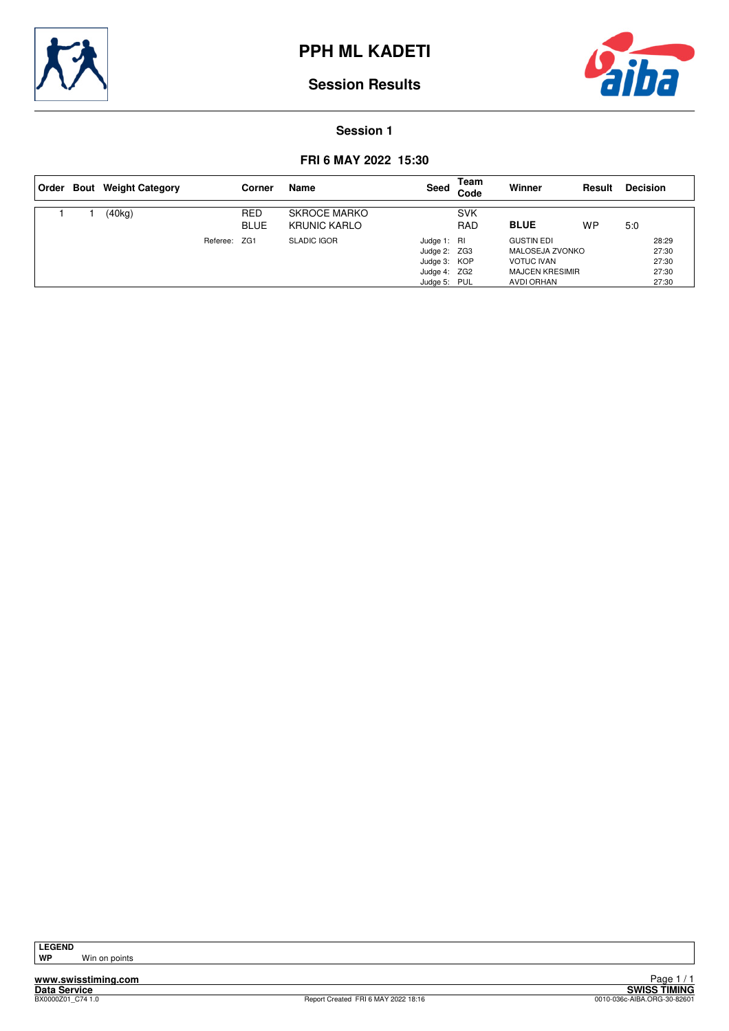



#### **Session 1**

## **FRI 6 MAY 2022 15:30**

| ∣ Order | <b>Bout</b> Weight Category |              | Corner                    | Name                                       | Seed                                                                        | Team<br>Code             | Winner                                                                                            | Result    | <b>Decision</b>                           |
|---------|-----------------------------|--------------|---------------------------|--------------------------------------------|-----------------------------------------------------------------------------|--------------------------|---------------------------------------------------------------------------------------------------|-----------|-------------------------------------------|
|         | (40kg)                      |              | <b>RED</b><br><b>BLUE</b> | <b>SKROCE MARKO</b><br><b>KRUNIC KARLO</b> |                                                                             | <b>SVK</b><br><b>RAD</b> | <b>BLUE</b>                                                                                       | <b>WP</b> | 5:0                                       |
|         |                             | Referee: ZG1 |                           | <b>SLADIC IGOR</b>                         | Judge 1: RI<br>Judge 2: ZG3<br>Judge 3: KOP<br>Judge 4: ZG2<br>Judge 5: PUL |                          | <b>GUSTIN EDI</b><br>MALOSEJA ZVONKO<br><b>VOTUC IVAN</b><br><b>MAJCEN KRESIMIR</b><br>AVDI ORHAN |           | 28:29<br>27:30<br>27:30<br>27:30<br>27:30 |

**Win on points**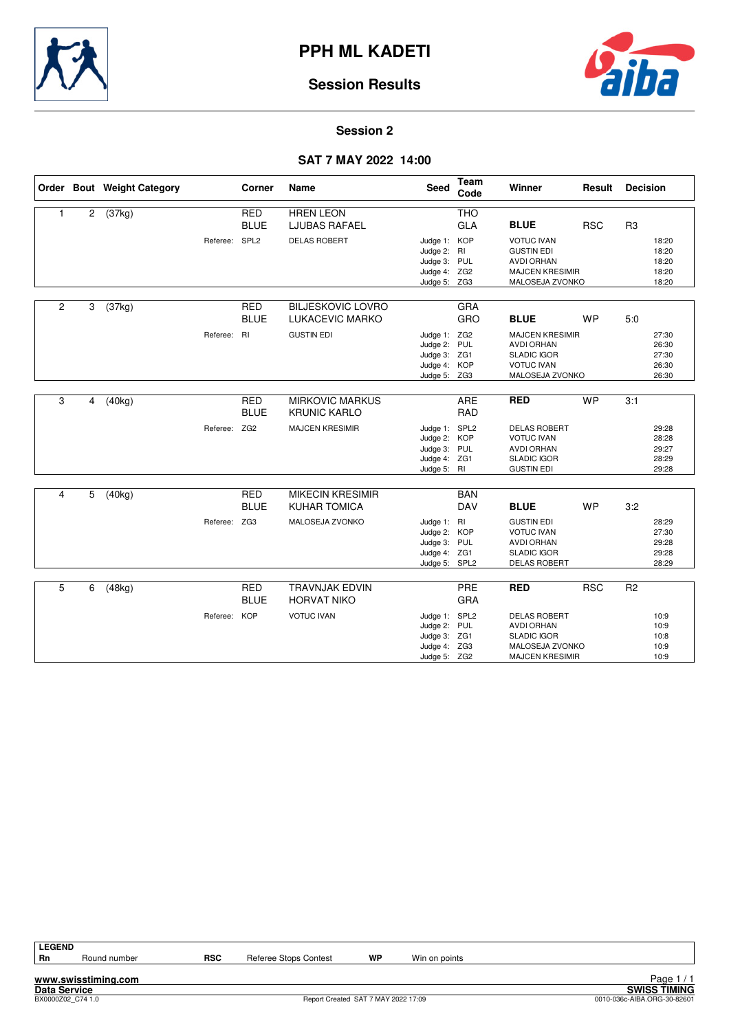



#### **Session 2**

## **SAT 7 MAY 2022 14:00**

|                |   | Order Bout Weight Category |               | Corner                    | Name                                           | <b>Seed</b>                                                                   | <b>Team</b><br>Code      | Winner                                                                                                      | Result     | <b>Decision</b> |                                           |
|----------------|---|----------------------------|---------------|---------------------------|------------------------------------------------|-------------------------------------------------------------------------------|--------------------------|-------------------------------------------------------------------------------------------------------------|------------|-----------------|-------------------------------------------|
| 1              | 2 | (37kg)                     |               | <b>RED</b><br><b>BLUE</b> | <b>HREN LEON</b><br><b>LJUBAS RAFAEL</b>       |                                                                               | <b>THO</b><br><b>GLA</b> | <b>BLUE</b>                                                                                                 | <b>RSC</b> | R <sub>3</sub>  |                                           |
|                |   |                            | Referee: SPL2 |                           | <b>DELAS ROBERT</b>                            | Judge 1: KOP<br>Judge 2: RI<br>Judge 3: PUL<br>Judge 4: ZG2<br>Judge 5: ZG3   |                          | <b>VOTUC IVAN</b><br><b>GUSTIN EDI</b><br><b>AVDI ORHAN</b><br><b>MAJCEN KRESIMIR</b><br>MALOSEJA ZVONKO    |            |                 | 18:20<br>18:20<br>18:20<br>18:20<br>18:20 |
| $\overline{c}$ | 3 | (37kg)                     |               | <b>RED</b><br><b>BLUE</b> | <b>BILJESKOVIC LOVRO</b><br>LUKACEVIC MARKO    |                                                                               | GRA<br>GRO               | <b>BLUE</b>                                                                                                 | WP         | 5:0             |                                           |
|                |   |                            | Referee: RI   |                           | <b>GUSTIN EDI</b>                              | Judge 1: ZG2<br>Judge 2: PUL<br>Judge 3: ZG1<br>Judge 4: KOP<br>Judge 5: ZG3  |                          | <b>MAJCEN KRESIMIR</b><br><b>AVDI ORHAN</b><br><b>SLADIC IGOR</b><br><b>VOTUC IVAN</b><br>MALOSEJA ZVONKO   |            |                 | 27:30<br>26:30<br>27:30<br>26:30<br>26:30 |
| 3              | 4 | (40kg)                     |               | <b>RED</b><br><b>BLUE</b> | <b>MIRKOVIC MARKUS</b><br><b>KRUNIC KARLO</b>  |                                                                               | ARE<br><b>RAD</b>        | <b>RED</b>                                                                                                  | <b>WP</b>  | 3:1             |                                           |
|                |   |                            | Referee: ZG2  |                           | <b>MAJCEN KRESIMIR</b>                         | Judge 1: SPL2<br>Judge 2: KOP<br>Judge 3: PUL<br>Judge 4: ZG1<br>Judge 5: RI  |                          | <b>DELAS ROBERT</b><br><b>VOTUC IVAN</b><br><b>AVDI ORHAN</b><br><b>SLADIC IGOR</b><br><b>GUSTIN EDI</b>    |            |                 | 29:28<br>28:28<br>29:27<br>28:29<br>29:28 |
| 4              | 5 | (40kg)                     |               | <b>RED</b><br><b>BLUE</b> | <b>MIKECIN KRESIMIR</b><br><b>KUHAR TOMICA</b> |                                                                               | <b>BAN</b><br><b>DAV</b> | <b>BLUE</b>                                                                                                 | <b>WP</b>  | 3:2             |                                           |
|                |   |                            | Referee: ZG3  |                           | MALOSEJA ZVONKO                                | Judge 1: RI<br>Judge 2: KOP<br>Judge 3: PUL<br>Judge 4: ZG1<br>Judge 5: SPL2  |                          | <b>GUSTIN EDI</b><br><b>VOTUC IVAN</b><br><b>AVDI ORHAN</b><br><b>SLADIC IGOR</b><br><b>DELAS ROBERT</b>    |            |                 | 28:29<br>27:30<br>29:28<br>29:28<br>28:29 |
| 5              | 6 | (48kg)                     |               | <b>RED</b><br><b>BLUE</b> | <b>TRAVNJAK EDVIN</b><br><b>HORVAT NIKO</b>    |                                                                               | PRE<br>GRA               | <b>RED</b>                                                                                                  | <b>RSC</b> | R <sub>2</sub>  |                                           |
|                |   |                            | Referee: KOP  |                           | <b>VOTUC IVAN</b>                              | Judge 1: SPL2<br>Judge 2: PUL<br>Judge 3: ZG1<br>Judge 4: ZG3<br>Judge 5: ZG2 |                          | <b>DELAS ROBERT</b><br><b>AVDI ORHAN</b><br><b>SLADIC IGOR</b><br>MALOSEJA ZVONKO<br><b>MAJCEN KRESIMIR</b> |            |                 | 10:9<br>10:9<br>10:8<br>10:9<br>10:9      |

| <b>LEGEND</b> |       |
|---------------|-------|
| Rn            | Rounc |

**www.swisstiming.com**

**RSC** Referee Stops Contest **WP** Win on points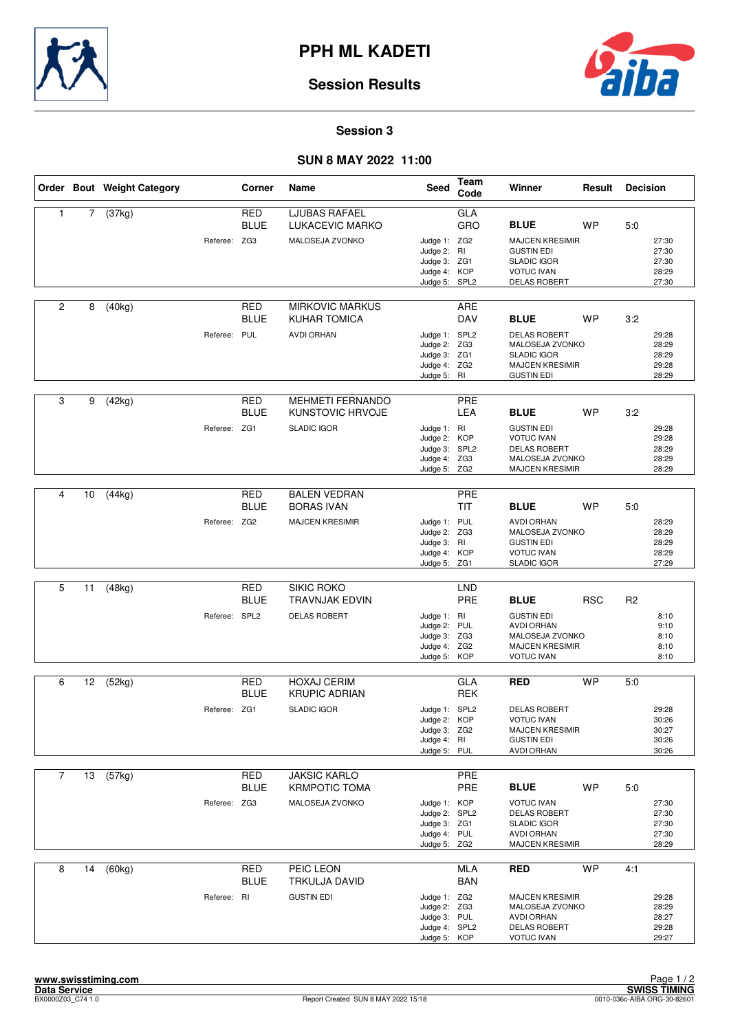



#### **Session 3**

## **SUN 8 MAY 2022 11:00**

|                |    | Order Bout Weight Category |               | Corner                    | Name                                                       | Seed                                                                          | Team<br>Code      | Winner                                                                                                        | Result     | <b>Decision</b> |                                           |
|----------------|----|----------------------------|---------------|---------------------------|------------------------------------------------------------|-------------------------------------------------------------------------------|-------------------|---------------------------------------------------------------------------------------------------------------|------------|-----------------|-------------------------------------------|
| 1              | 7  | (37kg)                     | Referee: ZG3  | <b>RED</b><br><b>BLUE</b> | <b>LJUBAS RAFAEL</b><br>LUKACEVIC MARKO<br>MALOSEJA ZVONKO | Judge 1: ZG2<br>Judge 2: RI<br>Judge 3: ZG1                                   | GLA<br>GRO        | <b>BLUE</b><br><b>MAJCEN KRESIMIR</b><br><b>GUSTIN EDI</b><br><b>SLADIC IGOR</b>                              | <b>WP</b>  | 5:0             | 27:30<br>27:30<br>27:30                   |
|                |    |                            |               |                           |                                                            | Judge 4: KOP<br>Judge 5: SPL2                                                 |                   | <b>VOTUC IVAN</b><br><b>DELAS ROBERT</b>                                                                      |            |                 | 28:29<br>27:30                            |
| $\overline{2}$ | 8  | (40kg)                     |               | RED<br><b>BLUE</b>        | <b>MIRKOVIC MARKUS</b><br>KUHAR TOMICA                     |                                                                               | ARE<br>DAV        | <b>BLUE</b>                                                                                                   | <b>WP</b>  | 3:2             |                                           |
|                |    |                            | Referee: PUL  |                           | <b>AVDI ORHAN</b>                                          | Judge 1: SPL2<br>Judge 2: ZG3<br>Judge 3: ZG1<br>Judge 4: ZG2<br>Judge 5: RI  |                   | <b>DELAS ROBERT</b><br>MALOSEJA ZVONKO<br><b>SLADIC IGOR</b><br><b>MAJCEN KRESIMIR</b><br><b>GUSTIN EDI</b>   |            |                 | 29:28<br>28:29<br>28:29<br>29:28<br>28:29 |
| 3              | 9  | (42kg)                     |               | <b>RED</b><br><b>BLUE</b> | <b>MEHMETI FERNANDO</b><br>KUNSTOVIC HRVOJE                |                                                                               | PRE<br>LEA        | <b>BLUE</b>                                                                                                   | <b>WP</b>  | 3:2             |                                           |
|                |    |                            | Referee: ZG1  |                           | <b>SLADIC IGOR</b>                                         | Judge 1: RI<br>Judge 2: KOP<br>Judge 3: SPL2<br>Judge 4: ZG3<br>Judge 5: ZG2  |                   | <b>GUSTIN EDI</b><br><b>VOTUC IVAN</b><br><b>DELAS ROBERT</b><br>MALOSEJA ZVONKO<br><b>MAJCEN KRESIMIR</b>    |            |                 | 29:28<br>29:28<br>28:29<br>28:29<br>28:29 |
|                |    |                            |               |                           |                                                            |                                                                               |                   |                                                                                                               |            |                 |                                           |
| 4              | 10 | (44kg)                     |               | <b>RED</b><br><b>BLUE</b> | <b>BALEN VEDRAN</b><br><b>BORAS IVAN</b>                   |                                                                               | PRE<br><b>TIT</b> | <b>BLUE</b>                                                                                                   | WP         | 5:0             |                                           |
|                |    |                            | Referee: ZG2  |                           | <b>MAJCEN KRESIMIR</b>                                     | Judge 1: PUL<br>Judge 2: ZG3<br>Judge 3: RI<br>Judge 4: KOP<br>Judge 5: ZG1   |                   | <b>AVDI ORHAN</b><br>MALOSEJA ZVONKO<br><b>GUSTIN EDI</b><br><b>VOTUC IVAN</b><br><b>SLADIC IGOR</b>          |            |                 | 28:29<br>28:29<br>28:29<br>28:29<br>27:29 |
|                |    |                            |               |                           |                                                            |                                                                               |                   |                                                                                                               |            |                 |                                           |
| 5              | 11 | (48kg)                     |               | <b>RED</b><br><b>BLUE</b> | SIKIC ROKO<br><b>TRAVNJAK EDVIN</b>                        |                                                                               | <b>LND</b><br>PRE | <b>BLUE</b>                                                                                                   | <b>RSC</b> | R <sub>2</sub>  |                                           |
|                |    |                            | Referee: SPL2 |                           | <b>DELAS ROBERT</b>                                        | Judge 1: RI<br>Judge 2: PUL<br>Judge 3: ZG3<br>Judge 4: ZG2<br>Judge 5: KOP   |                   | <b>GUSTIN EDI</b><br><b>AVDI ORHAN</b><br>MALOSEJA ZVONKO<br><b>MAJCEN KRESIMIR</b><br><b>VOTUC IVAN</b>      |            |                 | 8:10<br>9:10<br>8:10<br>8:10<br>8:10      |
| 6              | 12 | (52kg)                     |               | <b>RED</b>                | <b>HOXAJ CERIM</b>                                         |                                                                               | GLA               | <b>RED</b>                                                                                                    | <b>WP</b>  | 5:0             |                                           |
|                |    |                            |               | <b>BLUE</b>               | <b>KRUPIC ADRIAN</b>                                       |                                                                               | <b>REK</b>        |                                                                                                               |            |                 |                                           |
|                |    |                            | Referee: ZG1  |                           | <b>SLADIC IGOR</b>                                         | Judge 1: SPL2<br>Judge 2: KOP<br>Judge 3: ZG2<br>Judge 4: RI<br>Judge 5: PUL  |                   | <b>DELAS ROBERT</b><br><b>VOTUC IVAN</b><br><b>MAJCEN KRESIMIR</b><br><b>GUSTIN EDI</b><br><b>AVDI ORHAN</b>  |            |                 | 29:28<br>30:26<br>30:27<br>30:26<br>30:26 |
| $\overline{7}$ | 13 | (57kg)                     |               | RED                       | <b>JAKSIC KARLO</b>                                        |                                                                               | PRE               |                                                                                                               |            |                 |                                           |
|                |    |                            |               | <b>BLUE</b>               | <b>KRMPOTIC TOMA</b>                                       |                                                                               | PRE               | <b>BLUE</b>                                                                                                   | <b>WP</b>  | 5:0             |                                           |
|                |    |                            | Referee: ZG3  |                           | MALOSEJA ZVONKO                                            | Judge 1: KOP<br>Judge 2: SPL2<br>Judge 3: ZG1<br>Judge 4: PUL<br>Judge 5: ZG2 |                   | <b>VOTUC IVAN</b><br><b>DELAS ROBERT</b><br><b>SLADIC IGOR</b><br><b>AVDI ORHAN</b><br><b>MAJCEN KRESIMIR</b> |            |                 | 27:30<br>27:30<br>27:30<br>27:30<br>28:29 |
| 8              | 14 | (60kg)                     |               | <b>RED</b>                | PEIC LEON                                                  |                                                                               | <b>MLA</b>        | <b>RED</b>                                                                                                    | <b>WP</b>  | 4:1             |                                           |
|                |    |                            | Referee: RI   | <b>BLUE</b>               | TRKULJA DAVID<br><b>GUSTIN EDI</b>                         | Judge 1: ZG2<br>Judge 2: ZG3<br>Judge 3: PUL<br>Judge 4: SPL2<br>Judge 5: KOP | <b>BAN</b>        | <b>MAJCEN KRESIMIR</b><br>MALOSEJA ZVONKO<br><b>AVDI ORHAN</b><br><b>DELAS ROBERT</b><br><b>VOTUC IVAN</b>    |            |                 | 29:28<br>28:29<br>28:27<br>29:28<br>29:27 |